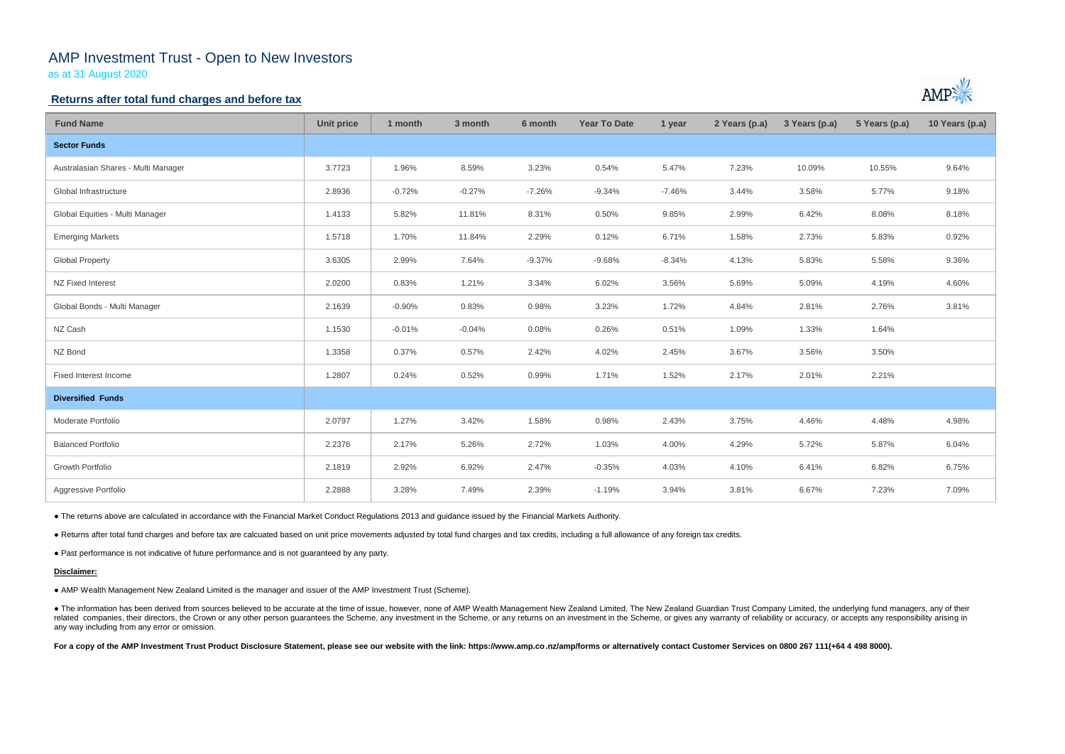# AMP Investment Trust - Open to New Investors

as at 31 August 2020

### **Returns after total fund charges and before tax**

| <b>Fund Name</b>                    | <b>Unit price</b> | 1 month  | 3 month  | 6 month  | <b>Year To Date</b> | 1 year   | 2 Years (p.a) | 3 Years (p.a) | 5 Years (p.a) | 10 Years (p.a) |
|-------------------------------------|-------------------|----------|----------|----------|---------------------|----------|---------------|---------------|---------------|----------------|
| <b>Sector Funds</b>                 |                   |          |          |          |                     |          |               |               |               |                |
| Australasian Shares - Multi Manager | 3.7723            | 1.96%    | 8.59%    | 3.23%    | 0.54%               | 5.47%    | 7.23%         | 10.09%        | 10.55%        | 9.64%          |
| Global Infrastructure               | 2.8936            | $-0.72%$ | $-0.27%$ | $-7.26%$ | $-9.34%$            | $-7.46%$ | 3.44%         | 3.58%         | 5.77%         | 9.18%          |
| Global Equities - Multi Manager     | 1.4133            | 5.82%    | 11.81%   | 8.31%    | 0.50%               | 9.85%    | 2.99%         | 6.42%         | 8.08%         | 8.18%          |
| <b>Emerging Markets</b>             | 1.5718            | 1.70%    | 11.84%   | 2.29%    | 0.12%               | 6.71%    | 1.58%         | 2.73%         | 5.83%         | 0.92%          |
| <b>Global Property</b>              | 3.6305            | 2.99%    | 7.64%    | $-9.37%$ | $-9.68%$            | $-8.34%$ | 4.13%         | 5.83%         | 5.58%         | 9.36%          |
| NZ Fixed Interest                   | 2.0200            | 0.83%    | 1.21%    | 3.34%    | 6.02%               | 3.56%    | 5.69%         | 5.09%         | 4.19%         | 4.60%          |
| Global Bonds - Multi Manager        | 2.1639            | $-0.90%$ | 0.83%    | 0.98%    | 3.23%               | 1.72%    | 4.84%         | 2.81%         | 2.76%         | 3.81%          |
| NZ Cash                             | 1.1530            | $-0.01%$ | $-0.04%$ | 0.08%    | 0.26%               | 0.51%    | 1.09%         | 1.33%         | 1.64%         |                |
| NZ Bond                             | 1.3358            | 0.37%    | 0.57%    | 2.42%    | 4.02%               | 2.45%    | 3.67%         | 3.56%         | 3.50%         |                |
| Fixed Interest Income               | 1.2807            | 0.24%    | 0.52%    | 0.99%    | 1.71%               | 1.52%    | 2.17%         | 2.01%         | 2.21%         |                |
| <b>Diversified Funds</b>            |                   |          |          |          |                     |          |               |               |               |                |
| Moderate Portfolio                  | 2.0797            | 1.27%    | 3.42%    | 1.58%    | 0.98%               | 2.43%    | 3.75%         | 4.46%         | 4.48%         | 4.98%          |
| <b>Balanced Portfolio</b>           | 2.2376            | 2.17%    | 5.26%    | 2.72%    | 1.03%               | 4.00%    | 4.29%         | 5.72%         | 5.87%         | 6.04%          |
| Growth Portfolio                    | 2.1819            | 2.92%    | 6.92%    | 2.47%    | $-0.35%$            | 4.03%    | 4.10%         | 6.41%         | 6.82%         | 6.75%          |
| Aggressive Portfolio                | 2.2888            | 3.28%    | 7.49%    | 2.39%    | $-1.19%$            | 3.94%    | 3.81%         | 6.67%         | 7.23%         | 7.09%          |

• The information has been derived from sources believed to be accurate at the time of issue, however, none of AMP Wealth Management New Zealand Limited, The New Zealand Guardian Trust Company Limited, the underlying fund related companies, their directors, the Crown or any other person guarantees the Scheme, any investment in the Scheme, or any returns on an investment in the Scheme, or gives any warranty of reliability or accuracy, or acc any way including from any error or omission.

For a copy of the AMP Investment Trust Product Disclosure Statement, please see our website with the link: https://www.amp.co.nz/amp/forms or alternatively contact Customer Services on 0800 267 111(+64 4 498 8000).



● The returns above are calculated in accordance with the Financial Market Conduct Regulations 2013 and guidance issued by the Financial Markets Authority.

● Returns after total fund charges and before tax are calcuated based on unit price movements adjusted by total fund charges and tax credits, including a full allowance of any foreign tax credits.

● Past performance is not indicative of future performance and is not guaranteed by any party.

#### **Disclaimer:**

● AMP Wealth Management New Zealand Limited is the manager and issuer of the AMP Investment Trust (Scheme).